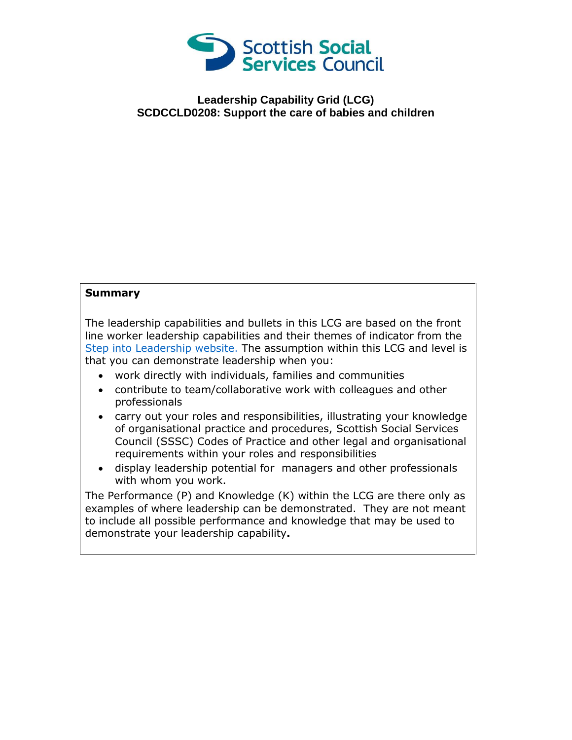

## **Leadership Capability Grid (LCG) SCDCCLD0208: Support the care of babies and children**

## **Summary**

The leadership capabilities and bullets in this LCG are based on the front line worker leadership capabilities and their themes of indicator from the [Step into Leadership website.](http://www.stepintoleadership.info/) The assumption within this LCG and level is that you can demonstrate leadership when you:

- work directly with individuals, families and communities
- contribute to team/collaborative work with colleagues and other professionals
- carry out your roles and responsibilities, illustrating your knowledge of organisational practice and procedures, Scottish Social Services Council (SSSC) Codes of Practice and other legal and organisational requirements within your roles and responsibilities
- display leadership potential for managers and other professionals with whom you work.

The Performance (P) and Knowledge (K) within the LCG are there only as examples of where leadership can be demonstrated. They are not meant to include all possible performance and knowledge that may be used to demonstrate your leadership capability**.**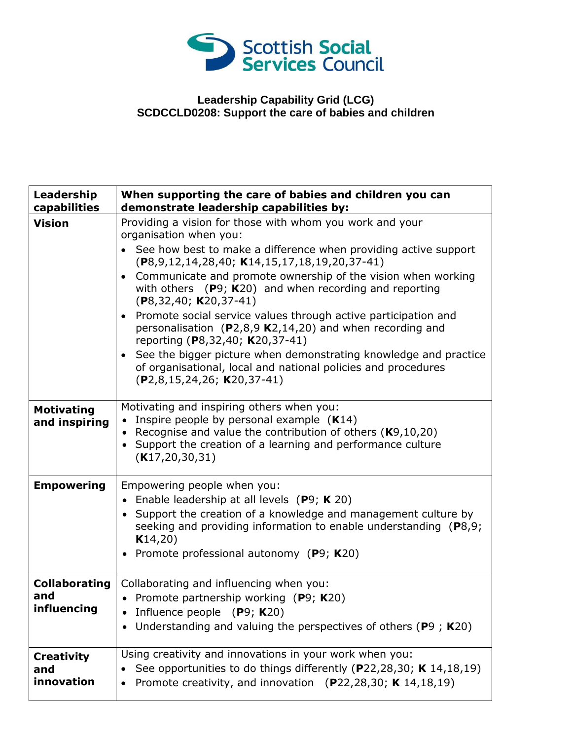

## **Leadership Capability Grid (LCG) SCDCCLD0208: Support the care of babies and children**

| Leadership<br>capabilities                 | When supporting the care of babies and children you can<br>demonstrate leadership capabilities by:                                                                                                                                                                                                                                                                                                                                                                                                                                                                                                                                                                                                                     |
|--------------------------------------------|------------------------------------------------------------------------------------------------------------------------------------------------------------------------------------------------------------------------------------------------------------------------------------------------------------------------------------------------------------------------------------------------------------------------------------------------------------------------------------------------------------------------------------------------------------------------------------------------------------------------------------------------------------------------------------------------------------------------|
| <b>Vision</b>                              | Providing a vision for those with whom you work and your<br>organisation when you:<br>See how best to make a difference when providing active support<br>$(P8, 9, 12, 14, 28, 40; K14, 15, 17, 18, 19, 20, 37-41)$<br>Communicate and promote ownership of the vision when working<br>with others $(P9; K20)$ and when recording and reporting<br>$(P8, 32, 40; K20, 37-41)$<br>• Promote social service values through active participation and<br>personalisation $(P2,8,9 K2,14,20)$ and when recording and<br>reporting (P8,32,40; K20,37-41)<br>See the bigger picture when demonstrating knowledge and practice<br>of organisational, local and national policies and procedures<br>$(P2,8,15,24,26; K20,37-41)$ |
| <b>Motivating</b><br>and inspiring         | Motivating and inspiring others when you:<br>Inspire people by personal example $(K14)$<br>Recognise and value the contribution of others $(K9, 10, 20)$<br>$\bullet$<br>• Support the creation of a learning and performance culture<br>(K17, 20, 30, 31)                                                                                                                                                                                                                                                                                                                                                                                                                                                             |
| <b>Empowering</b>                          | Empowering people when you:<br>• Enable leadership at all levels $(P9; K 20)$<br>• Support the creation of a knowledge and management culture by<br>seeking and providing information to enable understanding $(P8,9)$ ;<br>K14,20)<br>Promote professional autonomy (P9; K20)                                                                                                                                                                                                                                                                                                                                                                                                                                         |
| <b>Collaborating</b><br>and<br>influencing | Collaborating and influencing when you:<br>• Promote partnership working (P9; K20)<br>Influence people $(P9; K20)$<br>Understanding and valuing the perspectives of others ( $P9$ ; K20)                                                                                                                                                                                                                                                                                                                                                                                                                                                                                                                               |
| <b>Creativity</b><br>and<br>innovation     | Using creativity and innovations in your work when you:<br>See opportunities to do things differently (P22,28,30; K 14,18,19)<br>Promote creativity, and innovation (P22,28,30; K 14,18,19)                                                                                                                                                                                                                                                                                                                                                                                                                                                                                                                            |